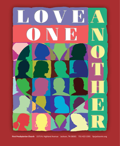

**First Presbyterian Church** 1573 N. Highland AvenueJackson, TN 38301731-422-1591fpcjacksontn.org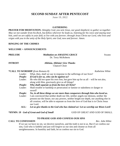# **SECOND SUNDAY AFTER PENTECOST**

**June 19, 2022**

#### **GATHERING**

**PRAYER FOR MEDITATION:** *Almighty God, you sent Jesus, our good shepherd, to gather us together.* May we not wander from his flock, but follow wherever he leads us, listening for his voice and staying near him, until we are safely in your fold, to live with you forever; through Jesus Christ our Lord, who lives and *reigns with you in the unity of the Holy Spirit, one God, now and forever. Amen.* 

## **RINGING OF THE CHIMES**

### **WELCOME + ANNOUNCEMENTS**

| PRELUDE        | <b>Meditation on AMAZING GRACE</b> | Swann |
|----------------|------------------------------------|-------|
|                | Dr. Terry McRoberts                |       |
| <b>INTROIT</b> | Alleluia, Alleluia! Give Thanks    |       |
|                |                                    |       |

Chancel Choir

## **\*CALL TO WORSHIP** *(from Romans 8)**Kathelene White*

| What, then, shall we say in response to the sufferings of our lives?<br>If God is for us, who can be against us?<br>He who did not spare his own Son, but gave him up for us all $-$ will he not also,<br>along with Him, graciously give us all things?<br>Who shall separate us from the love of Christ?<br>Shall trouble or hardship or persecution or famine or nakedness or danger or<br>sword?<br>No, in all these things we are more than conquerors through him who loved us.<br>I am convinced that neither death nor life, neither angels nor demons, neither the<br>present nor the future, nor any powers, neither height nor depth, nor anything else in<br>all creation, will be able to separate us from the love of God that is in Christ Jesus<br>our Lord. |         |  |
|------------------------------------------------------------------------------------------------------------------------------------------------------------------------------------------------------------------------------------------------------------------------------------------------------------------------------------------------------------------------------------------------------------------------------------------------------------------------------------------------------------------------------------------------------------------------------------------------------------------------------------------------------------------------------------------------------------------------------------------------------------------------------|---------|--|
|                                                                                                                                                                                                                                                                                                                                                                                                                                                                                                                                                                                                                                                                                                                                                                              | Leader: |  |
|                                                                                                                                                                                                                                                                                                                                                                                                                                                                                                                                                                                                                                                                                                                                                                              | People: |  |
|                                                                                                                                                                                                                                                                                                                                                                                                                                                                                                                                                                                                                                                                                                                                                                              | Leader: |  |
|                                                                                                                                                                                                                                                                                                                                                                                                                                                                                                                                                                                                                                                                                                                                                                              |         |  |
|                                                                                                                                                                                                                                                                                                                                                                                                                                                                                                                                                                                                                                                                                                                                                                              | People: |  |
|                                                                                                                                                                                                                                                                                                                                                                                                                                                                                                                                                                                                                                                                                                                                                                              | Leader: |  |
|                                                                                                                                                                                                                                                                                                                                                                                                                                                                                                                                                                                                                                                                                                                                                                              | People: |  |
|                                                                                                                                                                                                                                                                                                                                                                                                                                                                                                                                                                                                                                                                                                                                                                              | Leader: |  |
|                                                                                                                                                                                                                                                                                                                                                                                                                                                                                                                                                                                                                                                                                                                                                                              |         |  |

 *ALL: Let us give thanks to the God who has claimed us! Let us worship our Risen Lord!*

**\*HYMN: 19** *God of Great and God of Small* GOD OF GREAT AND GOD OF SMALL

#### **TO PRAISE GOD AND CONFESS OUR SINS**

## **CALL TO CONFESSION** *Rev. John White*

 If we say we have no sin, we deceive ourselves, and the truth is not in us. But if we confess our sins, God who is faithful and just will forgive us our sins and cleanse us from all unrighteousness. In humility and faith, let us confess our sin to God.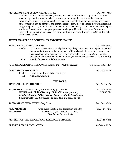#### **PRAYER OF CONFESSION** *(Psalm 51:10-13) Rev. John White*

 Gracious God, our sins are too heavy to carry, too real to hide and too deep to undo. Forgive what our lips tremble to name, what our hearts can no longer bear and what has become for us a consuming fire of judgment. Set us free from a past that we cannot change; open to us a future where we can be changed; and grant us grace to grow more and more in your likeness and image. Help us hear you in the silence. Create in us a clean heart, O God, and renew a right spirit within us. Do not cast us from your presence or take your Holy Spirit from us. Restore to us the joy of your salvation and sustain us with your bountiful Spirit through Jesus Christ, the light of the world. Amen

## **SILENT PRAYERS OF CONFESSION AND REPENTANCE**

|      | <b>ASSURANCE OF FORGIVENESS</b>                                                               | Rev. John White |
|------|-----------------------------------------------------------------------------------------------|-----------------|
|      | Leader: "You are a chosen race, a royal priesthood, a holy nation, God's own people, in order |                 |
|      | that you might proclaim the mighty acts of him who called you out of darkness into            |                 |
|      | his marvelous light. Once you were not a people, but now you are God's people;                |                 |
|      | once you had not received mercy, but now you have received mercy." (I Peter 2:9,10)           |                 |
| ALL: | Thanks be to God! Alleluia! Amen!                                                             |                 |

| *CONGREGATIONAL RESPONSE: (Hymn: 447 We Are Forgiven)                                                                                                                                                                                                                  | WE ARE FORGIVEN                   |
|------------------------------------------------------------------------------------------------------------------------------------------------------------------------------------------------------------------------------------------------------------------------|-----------------------------------|
| *PASSING OF THE PEACE<br>The peace of Jesus Christ be with you.<br>Leader:<br>And, also, with you.<br>ALL:                                                                                                                                                             | Rev. John White                   |
| <b>THE WORD</b>                                                                                                                                                                                                                                                        |                                   |
| TIME WITH THE CHILDREN                                                                                                                                                                                                                                                 | Rev. John White                   |
| <b>SACRAMENT OF BAPTISM, Etta Ann Craig</b> (see insert)<br><b>HYMN: 486</b> Child of Blessing, Child of Promise (stanza 1)<br>Child of blessing, child of promise, baptized with the Spirit's sign,<br>With this water God has sealed you unto love and grace divine. | Rev. John White<br><b>KINGDOM</b> |
| <b>SACRAMENT OF BAPTISM, Greg Blass</b>                                                                                                                                                                                                                                | Rev. John White                   |
| <b>NEW MEMBER</b><br><b>Greg Blass</b> (Baptism and Profession of Faith)<br><b>Carrie Kiser</b> (Reaffirmation of Faith)<br><b>RECEPTION</b><br><b>Blest be the Tie that Binds</b>                                                                                     | Rev. John White                   |
| <b>PRAYERS OF THE PEOPLE AND THE LORD'S PRAYER</b>                                                                                                                                                                                                                     | Rev. John White                   |
| <b>PRAYER FOR ILLUMINATION</b>                                                                                                                                                                                                                                         | Kathelene White                   |